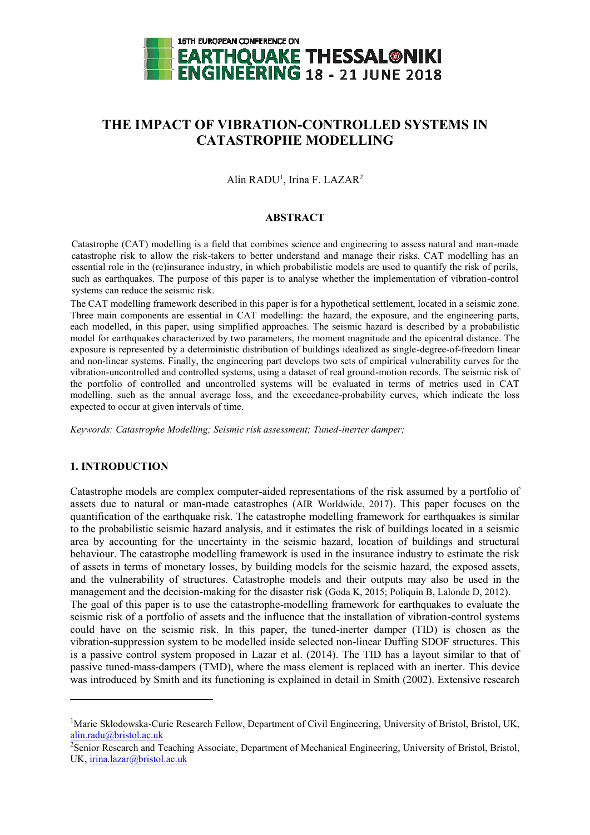

# **THE IMPACT OF VIBRATION-CONTROLLED SYSTEMS IN CATASTROPHE MODELLING**

Alin RADU<sup>1</sup>, Irina F. LAZAR<sup>2</sup>

### **ABSTRACT**

Catastrophe (CAT) modelling is a field that combines science and engineering to assess natural and man-made catastrophe risk to allow the risk-takers to better understand and manage their risks. CAT modelling has an essential role in the (re)insurance industry, in which probabilistic models are used to quantify the risk of perils, such as earthquakes. The purpose of this paper is to analyse whether the implementation of vibration-control systems can reduce the seismic risk.

The CAT modelling framework described in this paper is for a hypothetical settlement, located in a seismic zone. Three main components are essential in CAT modelling: the hazard, the exposure, and the engineering parts, each modelled, in this paper, using simplified approaches. The seismic hazard is described by a probabilistic model for earthquakes characterized by two parameters, the moment magnitude and the epicentral distance. The exposure is represented by a deterministic distribution of buildings idealized as single-degree-of-freedom linear and non-linear systems. Finally, the engineering part develops two sets of empirical vulnerability curves for the vibration-uncontrolled and controlled systems, using a dataset of real ground-motion records. The seismic risk of the portfolio of controlled and uncontrolled systems will be evaluated in terms of metrics used in CAT modelling, such as the annual average loss, and the exceedance-probability curves, which indicate the loss expected to occur at given intervals of time.

*Keywords: Catastrophe Modelling; Seismic risk assessment; Tuned-inerter damper;* 

### **1. INTRODUCTION**

l

Catastrophe models are complex computer-aided representations of the risk assumed by a portfolio of assets due to natural or man-made catastrophes (AIR Worldwide, 2017). This paper focuses on the quantification of the earthquake risk. The catastrophe modelling framework for earthquakes is similar to the probabilistic seismic hazard analysis, and it estimates the risk of buildings located in a seismic area by accounting for the uncertainty in the seismic hazard, location of buildings and structural behaviour. The catastrophe modelling framework is used in the insurance industry to estimate the risk of assets in terms of monetary losses, by building models for the seismic hazard, the exposed assets, and the vulnerability of structures. Catastrophe models and their outputs may also be used in the management and the decision-making for the disaster risk (Goda K, 2015; Poliquin B, Lalonde D, 2012). The goal of this paper is to use the catastrophe-modelling framework for earthquakes to evaluate the seismic risk of a portfolio of assets and the influence that the installation of vibration-control systems could have on the seismic risk. In this paper, the tuned-inerter damper (TID) is chosen as the vibration-suppression system to be modelled inside selected non-linear Duffing SDOF structures. This is a passive control system proposed in Lazar et al. (2014). The TID has a layout similar to that of passive tuned-mass-dampers (TMD), where the mass element is replaced with an inerter. This device was introduced by Smith and its functioning is explained in detail in Smith (2002). Extensive research

<sup>&</sup>lt;sup>1</sup>Marie Skłodowska-Curie Research Fellow, Department of Civil Engineering, University of Bristol, Bristol, UK, [alin.radu@bristol.ac.uk](mailto:alin.radu@bristol.ac.uk)

<sup>&</sup>lt;sup>2</sup>Senior Research and Teaching Associate, Department of Mechanical Engineering, University of Bristol, Bristol, UK, [irina.lazar@bristol.ac.uk](mailto:irina.lazar@bristol.ac.uk)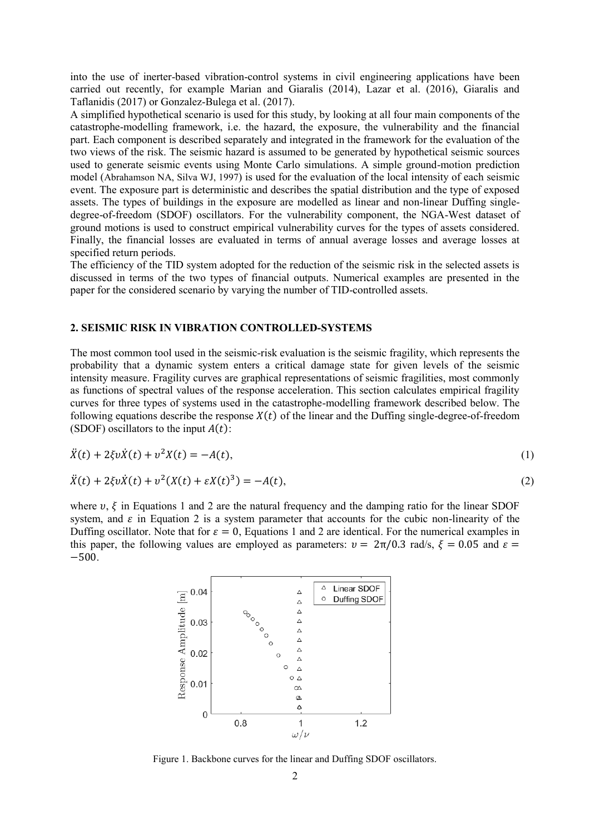into the use of inerter-based vibration-control systems in civil engineering applications have been carried out recently, for example Marian and Giaralis (2014), Lazar et al. (2016), Giaralis and Taflanidis (2017) or Gonzalez-Bulega et al. (2017).

A simplified hypothetical scenario is used for this study, by looking at all four main components of the catastrophe-modelling framework, i.e. the hazard, the exposure, the vulnerability and the financial part. Each component is described separately and integrated in the framework for the evaluation of the two views of the risk. The seismic hazard is assumed to be generated by hypothetical seismic sources used to generate seismic events using Monte Carlo simulations. A simple ground-motion prediction model (Abrahamson NA, Silva WJ, 1997) is used for the evaluation of the local intensity of each seismic event. The exposure part is deterministic and describes the spatial distribution and the type of exposed assets. The types of buildings in the exposure are modelled as linear and non-linear Duffing singledegree-of-freedom (SDOF) oscillators. For the vulnerability component, the NGA-West dataset of ground motions is used to construct empirical vulnerability curves for the types of assets considered. Finally, the financial losses are evaluated in terms of annual average losses and average losses at specified return periods.

The efficiency of the TID system adopted for the reduction of the seismic risk in the selected assets is discussed in terms of the two types of financial outputs. Numerical examples are presented in the paper for the considered scenario by varying the number of TID-controlled assets.

#### **2. SEISMIC RISK IN VIBRATION CONTROLLED-SYSTEMS**

The most common tool used in the seismic-risk evaluation is the seismic fragility, which represents the probability that a dynamic system enters a critical damage state for given levels of the seismic intensity measure. Fragility curves are graphical representations of seismic fragilities, most commonly as functions of spectral values of the response acceleration. This section calculates empirical fragility curves for three types of systems used in the catastrophe-modelling framework described below. The following equations describe the response  $X(t)$  of the linear and the Duffing single-degree-of-freedom (SDOF) oscillators to the input  $A(t)$ :

$$
\ddot{X}(t) + 2\xi v \dot{X}(t) + v^2 X(t) = -A(t),
$$
\n(1)

$$
\ddot{X}(t) + 2\xi v \dot{X}(t) + v^2 (X(t) + \varepsilon X(t)^3) = -A(t),
$$
\n(2)

where  $v$ ,  $\zeta$  in Equations 1 and 2 are the natural frequency and the damping ratio for the linear SDOF system, and  $\varepsilon$  in Equation 2 is a system parameter that accounts for the cubic non-linearity of the Duffing oscillator. Note that for  $\varepsilon = 0$ , Equations 1 and 2 are identical. For the numerical examples in this paper, the following values are employed as parameters:  $v = 2\pi/0.3$  rad/s,  $\xi = 0.05$  and  $\varepsilon =$ −500.



Figure 1. Backbone curves for the linear and Duffing SDOF oscillators.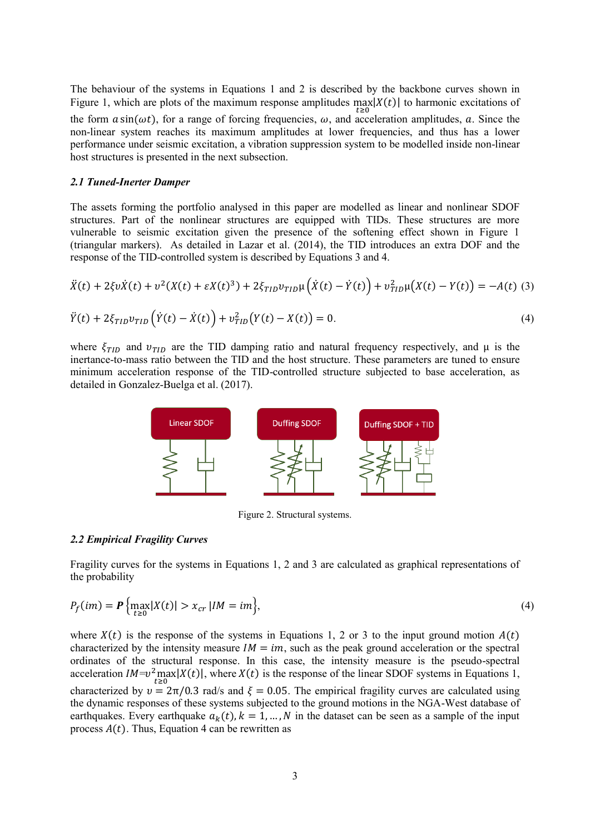The behaviour of the systems in Equations 1 and 2 is described by the backbone curves shown in Figure 1, which are plots of the maximum response amplitudes  $\max_{t \ge 0} |X(t)|$  to harmonic excitations of the form  $a \sin(\omega t)$ , for a range of forcing frequencies,  $\omega$ , and acceleration amplitudes,  $\alpha$ . Since the non-linear system reaches its maximum amplitudes at lower frequencies, and thus has a lower performance under seismic excitation, a vibration suppression system to be modelled inside non-linear host structures is presented in the next subsection.

#### *2.1 Tuned-Inerter Damper*

The assets forming the portfolio analysed in this paper are modelled as linear and nonlinear SDOF structures. Part of the nonlinear structures are equipped with TIDs. These structures are more vulnerable to seismic excitation given the presence of the softening effect shown in Figure 1 (triangular markers). As detailed in Lazar et al. (2014), the TID introduces an extra DOF and the response of the TID-controlled system is described by Equations 3 and 4.

$$
\ddot{X}(t) + 2\xi v \dot{X}(t) + v^2 (X(t) + \varepsilon X(t)^3) + 2\xi_{TID} v_{TID} \mu (\dot{X}(t) - \dot{Y}(t)) + v_{TID}^2 \mu (X(t) - Y(t)) = -A(t) \tag{3}
$$

$$
\ddot{Y}(t) + 2\xi_{TID} v_{TID} \left( \dot{Y}(t) - \dot{X}(t) \right) + v_{TID}^2 \left( Y(t) - X(t) \right) = 0.
$$
\n(4)

where  $\xi_{TID}$  and  $v_{TID}$  are the TID damping ratio and natural frequency respectively, and  $\mu$  is the inertance-to-mass ratio between the TID and the host structure. These parameters are tuned to ensure minimum acceleration response of the TID-controlled structure subjected to base acceleration, as detailed in Gonzalez-Buelga et al. (2017).



Figure 2. Structural systems.

#### *2.2 Empirical Fragility Curves*

Fragility curves for the systems in Equations 1, 2 and 3 are calculated as graphical representations of the probability

$$
P_f(im) = \mathbf{P}\left\{\max_{t \ge 0} |X(t)| > x_{cr} \, | IM = im\right\},\tag{4}
$$

where  $X(t)$  is the response of the systems in Equations 1, 2 or 3 to the input ground motion  $A(t)$ characterized by the intensity measure  $IM = im$ , such as the peak ground acceleration or the spectral ordinates of the structural response. In this case, the intensity measure is the pseudo-spectral acceleration  $IM=v^2 \max_{t \ge 0} |X(t)|$ , where  $X(t)$  is the response of the linear SDOF systems in Equations 1, characterized by  $v = 2\pi/0.3$  rad/s and  $\xi = 0.05$ . The empirical fragility curves are calculated using the dynamic responses of these systems subjected to the ground motions in the NGA-West database of earthquakes. Every earthquake  $a_k(t)$ ,  $k = 1, ..., N$  in the dataset can be seen as a sample of the input process  $A(t)$ . Thus, Equation 4 can be rewritten as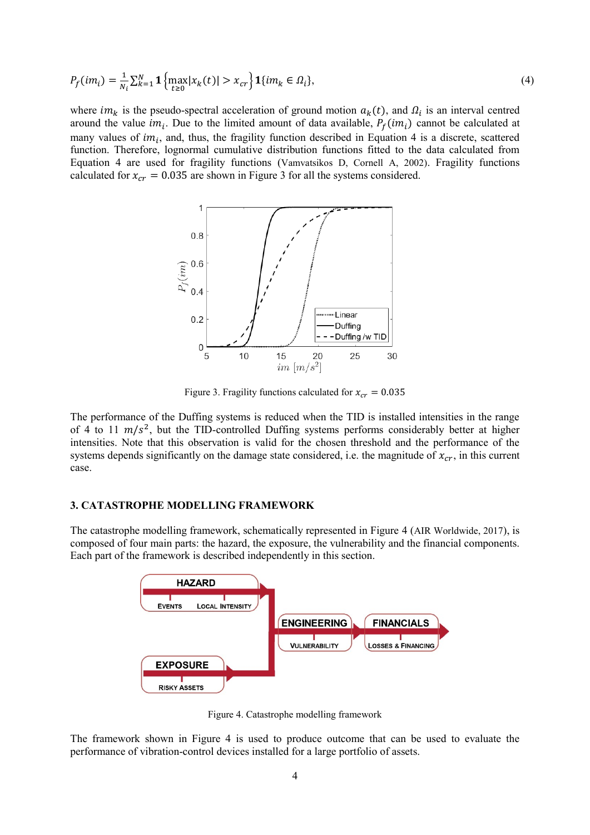$$
P_f(im_i) = \frac{1}{N_i} \sum_{k=1}^{N} \mathbf{1} \left\{ \max_{t \ge 0} |x_k(t)| > x_{cr} \right\} \mathbf{1} \{ im_k \in \Omega_i \},\tag{4}
$$

where  $im_k$  is the pseudo-spectral acceleration of ground motion  $a_k(t)$ , and  $\Omega_i$  is an interval centred around the value *im<sub>i</sub>*. Due to the limited amount of data available,  $P_f(im_i)$  cannot be calculated at many values of  $im_i$ , and, thus, the fragility function described in Equation 4 is a discrete, scattered function. Therefore, lognormal cumulative distribution functions fitted to the data calculated from Equation 4 are used for fragility functions (Vamvatsikos D, Cornell A, 2002). Fragility functions calculated for  $x_{cr} = 0.035$  are shown in Figure 3 for all the systems considered.



Figure 3. Fragility functions calculated for  $x_{cr} = 0.035$ 

The performance of the Duffing systems is reduced when the TID is installed intensities in the range of 4 to 11  $m/s^2$ , but the TID-controlled Duffing systems performs considerably better at higher intensities. Note that this observation is valid for the chosen threshold and the performance of the systems depends significantly on the damage state considered, i.e. the magnitude of  $x_{cr}$ , in this current case.

#### **3. CATASTROPHE MODELLING FRAMEWORK**

The catastrophe modelling framework, schematically represented in Figure 4 (AIR Worldwide, 2017), is composed of four main parts: the hazard, the exposure, the vulnerability and the financial components. Each part of the framework is described independently in this section.



Figure 4. Catastrophe modelling framework

The framework shown in Figure 4 is used to produce outcome that can be used to evaluate the performance of vibration-control devices installed for a large portfolio of assets.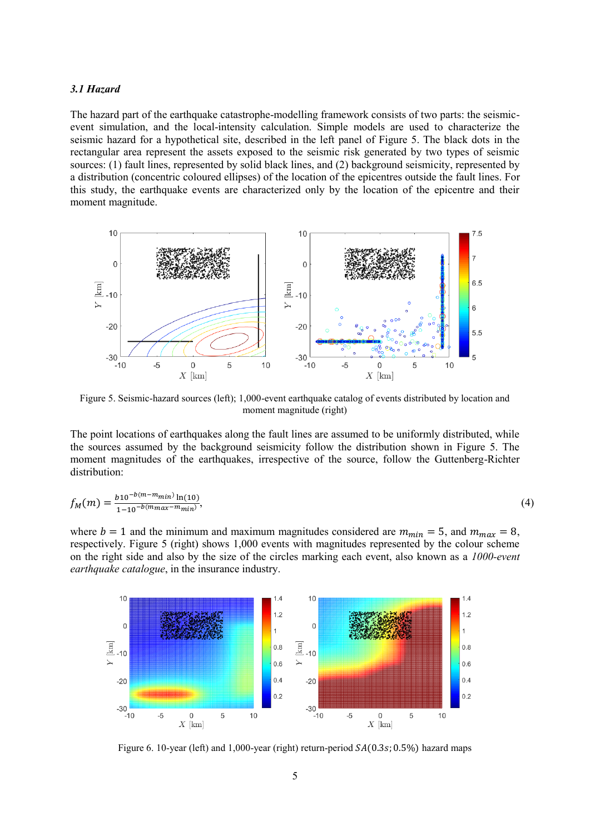#### *3.1 Hazard*

The hazard part of the earthquake catastrophe-modelling framework consists of two parts: the seismicevent simulation, and the local-intensity calculation. Simple models are used to characterize the seismic hazard for a hypothetical site, described in the left panel of Figure 5. The black dots in the rectangular area represent the assets exposed to the seismic risk generated by two types of seismic sources: (1) fault lines, represented by solid black lines, and (2) background seismicity, represented by a distribution (concentric coloured ellipses) of the location of the epicentres outside the fault lines. For this study, the earthquake events are characterized only by the location of the epicentre and their moment magnitude.



Figure 5. Seismic-hazard sources (left); 1,000-event earthquake catalog of events distributed by location and moment magnitude (right)

The point locations of earthquakes along the fault lines are assumed to be uniformly distributed, while the sources assumed by the background seismicity follow the distribution shown in Figure 5. The moment magnitudes of the earthquakes, irrespective of the source, follow the Guttenberg-Richter distribution:

$$
f_M(m) = \frac{b_1 10^{-b(m-m_{min})} \ln(10)}{1 - 10^{-b(m_{max} - m_{min})}},
$$
\n(4)

where  $b = 1$  and the minimum and maximum magnitudes considered are  $m_{min} = 5$ , and  $m_{max} = 8$ , respectively. Figure 5 (right) shows 1,000 events with magnitudes represented by the colour scheme on the right side and also by the size of the circles marking each event, also known as a *1000-event earthquake catalogue*, in the insurance industry.



Figure 6. 10-year (left) and 1,000-year (right) return-period  $SA(0.3s; 0.5\%)$  hazard maps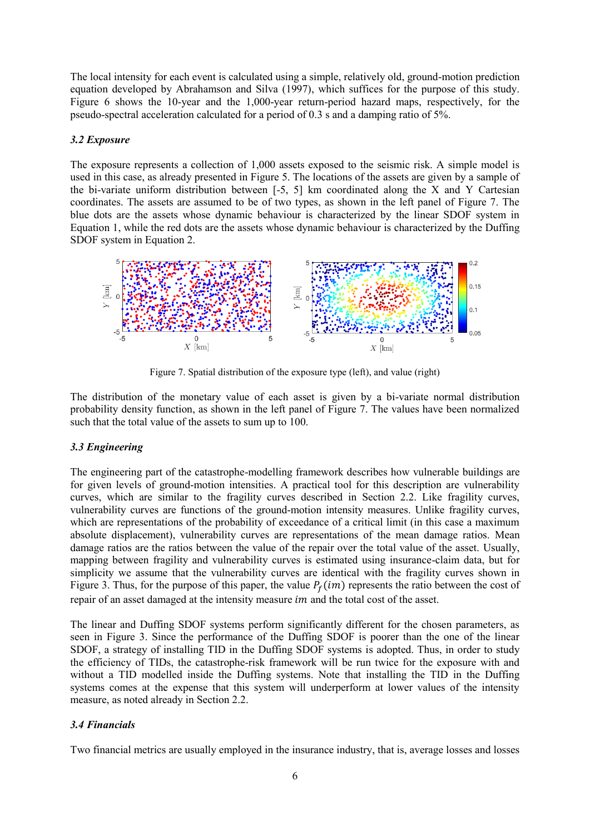The local intensity for each event is calculated using a simple, relatively old, ground-motion prediction equation developed by Abrahamson and Silva (1997), which suffices for the purpose of this study. Figure 6 shows the 10-year and the 1,000-year return-period hazard maps, respectively, for the pseudo-spectral acceleration calculated for a period of 0.3 s and a damping ratio of 5%.

## *3.2 Exposure*

The exposure represents a collection of 1,000 assets exposed to the seismic risk. A simple model is used in this case, as already presented in Figure 5. The locations of the assets are given by a sample of the bi-variate uniform distribution between [-5, 5] km coordinated along the X and Y Cartesian coordinates. The assets are assumed to be of two types, as shown in the left panel of Figure 7. The blue dots are the assets whose dynamic behaviour is characterized by the linear SDOF system in Equation 1, while the red dots are the assets whose dynamic behaviour is characterized by the Duffing SDOF system in Equation 2.



Figure 7. Spatial distribution of the exposure type (left), and value (right)

The distribution of the monetary value of each asset is given by a bi-variate normal distribution probability density function, as shown in the left panel of Figure 7. The values have been normalized such that the total value of the assets to sum up to 100.

# *3.3 Engineering*

The engineering part of the catastrophe-modelling framework describes how vulnerable buildings are for given levels of ground-motion intensities. A practical tool for this description are vulnerability curves, which are similar to the fragility curves described in Section 2.2. Like fragility curves, vulnerability curves are functions of the ground-motion intensity measures. Unlike fragility curves, which are representations of the probability of exceedance of a critical limit (in this case a maximum absolute displacement), vulnerability curves are representations of the mean damage ratios. Mean damage ratios are the ratios between the value of the repair over the total value of the asset. Usually, mapping between fragility and vulnerability curves is estimated using insurance-claim data, but for simplicity we assume that the vulnerability curves are identical with the fragility curves shown in Figure 3. Thus, for the purpose of this paper, the value  $P_f(im)$  represents the ratio between the cost of repair of an asset damaged at the intensity measure *im* and the total cost of the asset.

The linear and Duffing SDOF systems perform significantly different for the chosen parameters, as seen in Figure 3. Since the performance of the Duffing SDOF is poorer than the one of the linear SDOF, a strategy of installing TID in the Duffing SDOF systems is adopted. Thus, in order to study the efficiency of TIDs, the catastrophe-risk framework will be run twice for the exposure with and without a TID modelled inside the Duffing systems. Note that installing the TID in the Duffing systems comes at the expense that this system will underperform at lower values of the intensity measure, as noted already in Section 2.2.

# *3.4 Financials*

Two financial metrics are usually employed in the insurance industry, that is, average losses and losses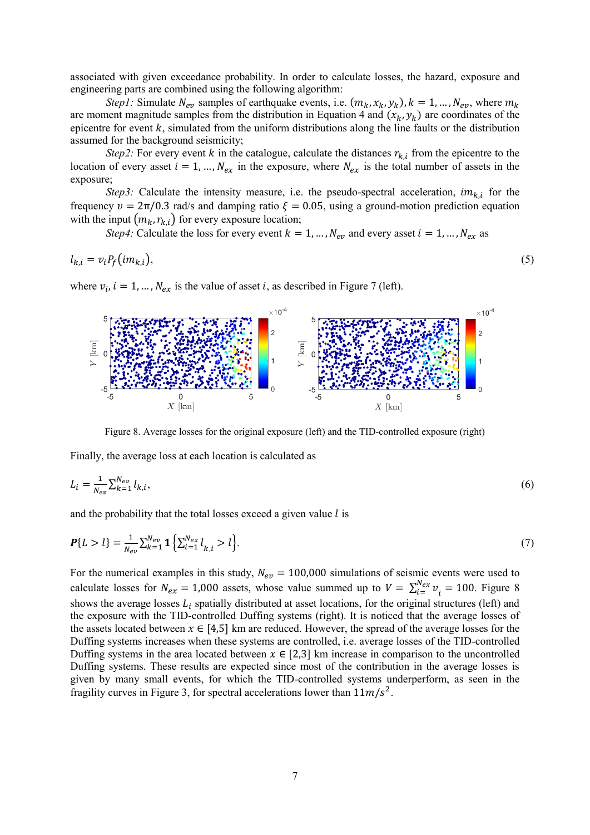associated with given exceedance probability. In order to calculate losses, the hazard, exposure and engineering parts are combined using the following algorithm:

*Step1*: Simulate  $N_{ev}$  samples of earthquake events, i.e.  $(m_k, x_k, y_k)$ ,  $k = 1, ..., N_{ev}$ , where  $m_k$ are moment magnitude samples from the distribution in Equation 4 and  $(x_k, y_k)$  are coordinates of the epicentre for event  $k$ , simulated from the uniform distributions along the line faults or the distribution assumed for the background seismicity;

*Step2*: For every event k in the catalogue, calculate the distances  $r_{k,i}$  from the epicentre to the location of every asset  $i = 1, ..., N_{ex}$  in the exposure, where  $N_{ex}$  is the total number of assets in the exposure;

*Step3*: Calculate the intensity measure, i.e. the pseudo-spectral acceleration,  $im_{k,i}$  for the frequency  $v = 2\pi/0.3$  rad/s and damping ratio  $\xi = 0.05$ , using a ground-motion prediction equation with the input  $(m_k, r_{k,i})$  for every exposure location;

*Step4*: Calculate the loss for every event  $k = 1, ..., N_{ev}$  and every asset  $i = 1, ..., N_{ex}$  as

$$
l_{k,i} = v_i P_f(im_{k,i}),
$$
\n<sup>(5)</sup>

where  $v_i$ ,  $i = 1, ..., N_{ex}$  is the value of asset i, as described in Figure 7 (left).



Figure 8. Average losses for the original exposure (left) and the TID-controlled exposure (right)

Finally, the average loss at each location is calculated as

$$
L_i = \frac{1}{N_{ev}} \sum_{k=1}^{N_{ev}} l_{k,i},\tag{6}
$$

and the probability that the total losses exceed a given value  $l$  is

$$
\mathbf{P}\{L > l\} = \frac{1}{N_{ev}} \sum_{k=1}^{N_{ev}} \mathbf{1} \left\{ \sum_{i=1}^{N_{ex}} l_{k,i} > l \right\}.
$$
 (7)

For the numerical examples in this study,  $N_{ev} = 100,000$  simulations of seismic events were used to calculate losses for  $N_{ex} = 1,000$  assets, whose value summed up to  $V = \sum_{i=1}^{N_{ex}} v_i$  $v_i^{N_{ex}} v_i = 100$ . Figure 8 shows the average losses  $L_i$  spatially distributed at asset locations, for the original structures (left) and the exposure with the TID-controlled Duffing systems (right). It is noticed that the average losses of the assets located between  $x \in [4,5]$  km are reduced. However, the spread of the average losses for the Duffing systems increases when these systems are controlled, i.e. average losses of the TID-controlled Duffing systems in the area located between  $x \in [2,3]$  km increase in comparison to the uncontrolled Duffing systems. These results are expected since most of the contribution in the average losses is given by many small events, for which the TID-controlled systems underperform, as seen in the fragility curves in Figure 3, for spectral accelerations lower than  $11m/s^2$ .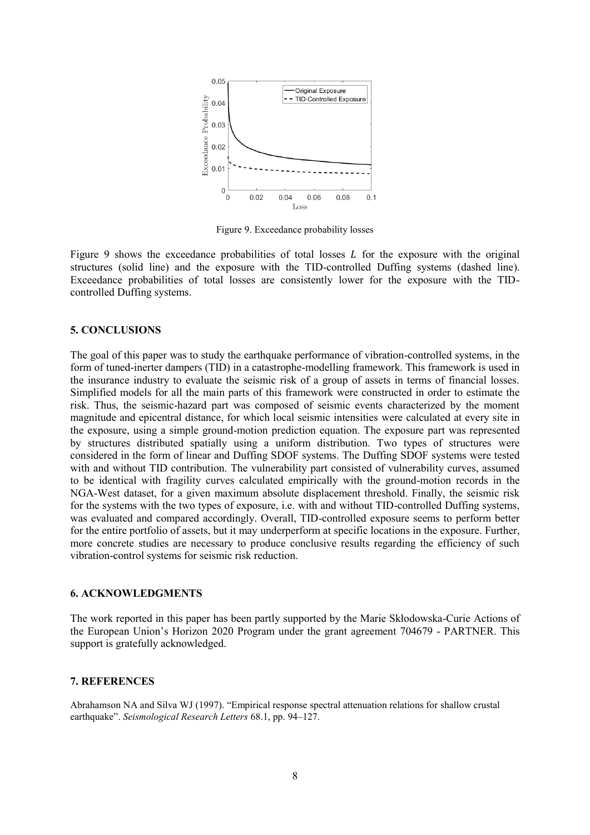

Figure 9. Exceedance probability losses

Figure 9 shows the exceedance probabilities of total losses  $L$  for the exposure with the original structures (solid line) and the exposure with the TID-controlled Duffing systems (dashed line). Exceedance probabilities of total losses are consistently lower for the exposure with the TIDcontrolled Duffing systems.

### **5. CONCLUSIONS**

The goal of this paper was to study the earthquake performance of vibration-controlled systems, in the form of tuned-inerter dampers (TID) in a catastrophe-modelling framework. This framework is used in the insurance industry to evaluate the seismic risk of a group of assets in terms of financial losses. Simplified models for all the main parts of this framework were constructed in order to estimate the risk. Thus, the seismic-hazard part was composed of seismic events characterized by the moment magnitude and epicentral distance, for which local seismic intensities were calculated at every site in the exposure, using a simple ground-motion prediction equation. The exposure part was represented by structures distributed spatially using a uniform distribution. Two types of structures were considered in the form of linear and Duffing SDOF systems. The Duffing SDOF systems were tested with and without TID contribution. The vulnerability part consisted of vulnerability curves, assumed to be identical with fragility curves calculated empirically with the ground-motion records in the NGA-West dataset, for a given maximum absolute displacement threshold. Finally, the seismic risk for the systems with the two types of exposure, i.e. with and without TID-controlled Duffing systems, was evaluated and compared accordingly. Overall, TID-controlled exposure seems to perform better for the entire portfolio of assets, but it may underperform at specific locations in the exposure. Further, more concrete studies are necessary to produce conclusive results regarding the efficiency of such vibration-control systems for seismic risk reduction.

#### **6. ACKNOWLEDGMENTS**

The work reported in this paper has been partly supported by the Marie Skłodowska-Curie Actions of the European Union's Horizon 2020 Program under the grant agreement 704679 - PARTNER. This support is gratefully acknowledged.

#### **7. REFERENCES**

Abrahamson NA and Silva WJ (1997). "Empirical response spectral attenuation relations for shallow crustal earthquake". *Seismological Research Letters* 68.1, pp. 94–127.